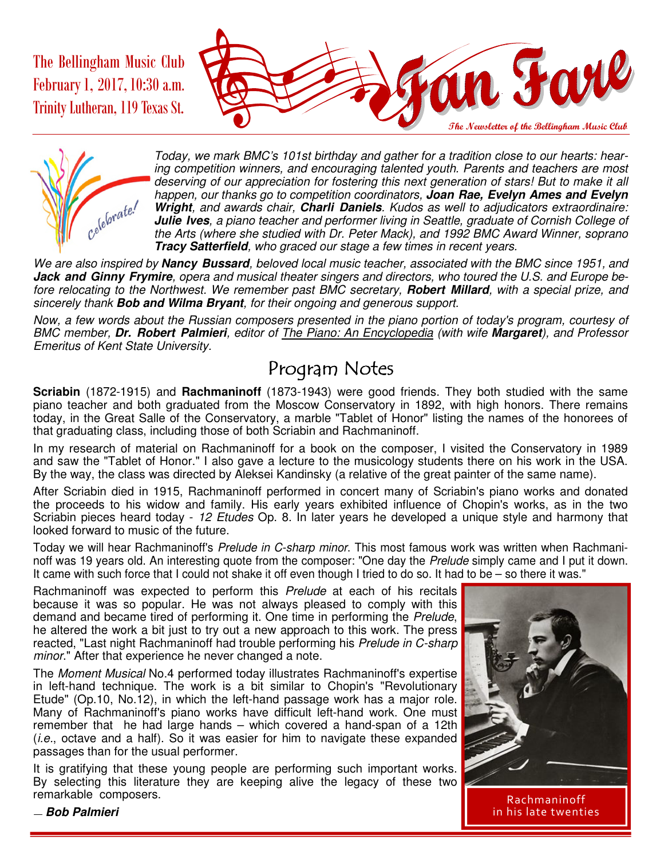The Bellingham Music Club February1, 2017,10:30 a.m. Trinity Lutheran, 119 Texas St.





Today, we mark BMC's 101st birthday and gather for a tradition close to our hearts: hearing competition winners, and encouraging talented youth. Parents and teachers are most deserving of our appreciation for fostering this next generation of stars! But to make it all happen, our thanks go to competition coordinators, **Joan Rae, Evelyn Ames and Evelyn Wright**, and awards chair, **Charli Daniels**. Kudos as well to adjudicators extraordinaire: **Julie Ives**, a piano teacher and performer living in Seattle, graduate of Cornish College of the Arts (where she studied with Dr. Peter Mack), and 1992 BMC Award Winner, soprano **Tracy Satterfield**, who graced our stage a few times in recent years.

We are also inspired by **Nancy Bussard**, beloved local music teacher, associated with the BMC since 1951, and **Jack and Ginny Frymire**, opera and musical theater singers and directors, who toured the U.S. and Europe before relocating to the Northwest. We remember past BMC secretary, **Robert Millard**, with a special prize, and sincerely thank **Bob and Wilma Bryant**, for their ongoing and generous support.

Now, a few words about the Russian composers presented in the piano portion of today's program, courtesy of BMC member, **Dr. Robert Palmieri**, editor of The Piano: An Encyclopedia (with wife **Margaret**), and Professor Emeritus of Kent State University.

#### Program Notes

**Scriabin** (1872-1915) and **Rachmaninoff** (1873-1943) were good friends. They both studied with the same piano teacher and both graduated from the Moscow Conservatory in 1892, with high honors. There remains today, in the Great Salle of the Conservatory, a marble "Tablet of Honor" listing the names of the honorees of that graduating class, including those of both Scriabin and Rachmaninoff.

In my research of material on Rachmaninoff for a book on the composer, I visited the Conservatory in 1989 and saw the "Tablet of Honor." I also gave a lecture to the musicology students there on his work in the USA. By the way, the class was directed by Aleksei Kandinsky (a relative of the great painter of the same name).

After Scriabin died in 1915, Rachmaninoff performed in concert many of Scriabin's piano works and donated the proceeds to his widow and family. His early years exhibited influence of Chopin's works, as in the two Scriabin pieces heard today - 12 Etudes Op. 8. In later years he developed a unique style and harmony that looked forward to music of the future.

Today we will hear Rachmaninoff's Prelude in C-sharp minor. This most famous work was written when Rachmaninoff was 19 years old. An interesting quote from the composer: "One day the Prelude simply came and I put it down. It came with such force that I could not shake it off even though I tried to do so. It had to be – so there it was."

Rachmaninoff was expected to perform this Prelude at each of his recitals because it was so popular. He was not always pleased to comply with this demand and became tired of performing it. One time in performing the Prelude, he altered the work a bit just to try out a new approach to this work. The press reacted, "Last night Rachmaninoff had trouble performing his Prelude in C-sharp minor." After that experience he never changed a note.

The Moment Musical No.4 performed today illustrates Rachmaninoff's expertise in left-hand technique. The work is a bit similar to Chopin's "Revolutionary Etude" (Op.10, No.12), in which the left-hand passage work has a major role. Many of Rachmaninoff's piano works have difficult left-hand work. One must remember that he had large hands – which covered a hand-span of a 12th  $(i.e.,$  octave and a half). So it was easier for him to navigate these expanded passages than for the usual performer.

It is gratifying that these young people are performing such important works. By selecting this literature they are keeping alive the legacy of these two remarkable composers.



Rachmaninoff in his late twenties

— **Bob Palmieri**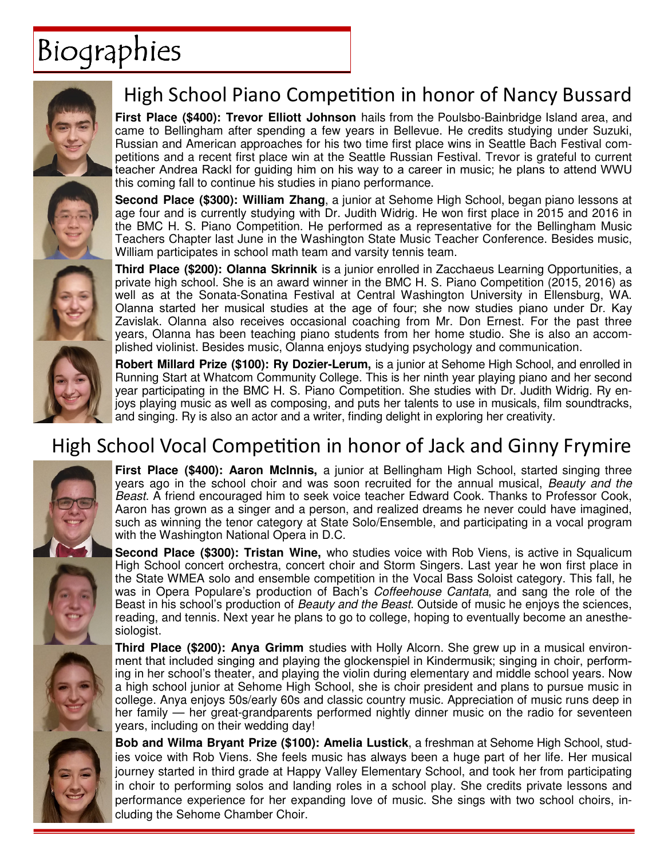# Biographies



# High School Piano Competition in honor of Nancy Bussard

**First Place (\$400): Trevor Elliott Johnson** hails from the Poulsbo-Bainbridge Island area, and came to Bellingham after spending a few years in Bellevue. He credits studying under Suzuki, Russian and American approaches for his two time first place wins in Seattle Bach Festival competitions and a recent first place win at the Seattle Russian Festival. Trevor is grateful to current teacher Andrea Rackl for guiding him on his way to a career in music; he plans to attend WWU this coming fall to continue his studies in piano performance.

**Second Place (\$300): William Zhang**, a junior at Sehome High School, began piano lessons at age four and is currently studying with Dr. Judith Widrig. He won first place in 2015 and 2016 in the BMC H. S. Piano Competition. He performed as a representative for the Bellingham Music Teachers Chapter last June in the Washington State Music Teacher Conference. Besides music, William participates in school math team and varsity tennis team.

**Third Place (\$200): Olanna Skrinnik** is a junior enrolled in Zacchaeus Learning Opportunities, a private high school. She is an award winner in the BMC H. S. Piano Competition (2015, 2016) as well as at the Sonata-Sonatina Festival at Central Washington University in Ellensburg, WA. Olanna started her musical studies at the age of four; she now studies piano under Dr. Kay Zavislak. Olanna also receives occasional coaching from Mr. Don Ernest. For the past three years, Olanna has been teaching piano students from her home studio. She is also an accomplished violinist. Besides music, Olanna enjoys studying psychology and communication.

**Robert Millard Prize (\$100): Ry Dozier-Lerum,** is a junior at Sehome High School, and enrolled in Running Start at Whatcom Community College. This is her ninth year playing piano and her second year participating in the BMC H. S. Piano Competition. She studies with Dr. Judith Widrig. Ry enjoys playing music as well as composing, and puts her talents to use in musicals, film soundtracks, and singing. Ry is also an actor and a writer, finding delight in exploring her creativity.

### High School Vocal Competition in honor of Jack and Ginny Frymire



**First Place (\$400): Aaron McInnis,** a junior at Bellingham High School, started singing three years ago in the school choir and was soon recruited for the annual musical, Beauty and the Beast. A friend encouraged him to seek voice teacher Edward Cook. Thanks to Professor Cook, Aaron has grown as a singer and a person, and realized dreams he never could have imagined, such as winning the tenor category at State Solo/Ensemble, and participating in a vocal program with the Washington National Opera in D.C.

**Second Place (\$300): Tristan Wine,** who studies voice with Rob Viens, is active in Squalicum High School concert orchestra, concert choir and Storm Singers. Last year he won first place in the State WMEA solo and ensemble competition in the Vocal Bass Soloist category. This fall, he was in Opera Populare's production of Bach's *Coffeehouse Cantata*, and sang the role of the Beast in his school's production of *Beauty and the Beast*. Outside of music he enjoys the sciences, reading, and tennis. Next year he plans to go to college, hoping to eventually become an anesthesiologist.

**Third Place (\$200): Anya Grimm** studies with Holly Alcorn. She grew up in a musical environment that included singing and playing the glockenspiel in Kindermusik; singing in choir, performing in her school's theater, and playing the violin during elementary and middle school years. Now a high school junior at Sehome High School, she is choir president and plans to pursue music in college. Anya enjoys 50s/early 60s and classic country music. Appreciation of music runs deep in her family — her great-grandparents performed nightly dinner music on the radio for seventeen years, including on their wedding day!

**Bob and Wilma Bryant Prize (\$100): Amelia Lustick**, a freshman at Sehome High School, studies voice with Rob Viens. She feels music has always been a huge part of her life. Her musical journey started in third grade at Happy Valley Elementary School, and took her from participating in choir to performing solos and landing roles in a school play. She credits private lessons and performance experience for her expanding love of music. She sings with two school choirs, including the Sehome Chamber Choir.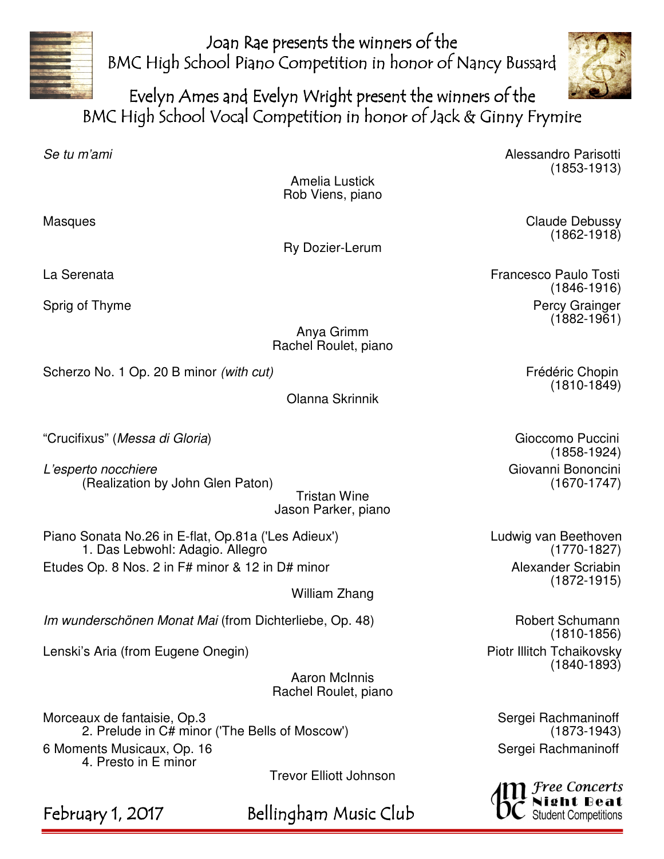

Joan Rae presents the winners of the BMC High School Piano Competition in honor of Nancy Bussard



Evelyn Ames and Evelyn Wright present the winners of the BMC High School Vocal Competition in honor of Jack & Ginny Frymire

Se tu m'ami Alessandro Parisotti e che e sulla contra la contra la contra della Contra della Contra della Contra (1853-1913)

Amelia Lustick Rob Viens, piano

Masques **Claude Debussy** Claude Debussy

Ry Dozier-Lerum

 (1862-1918) La Serenata Francesco Paulo Tosti

 (1846-1916) Sprig of Thyme **Percy Grainger** Percy Grainger (1882-1961)

> Anya Grimm Rachel Roulet, piano

Scherzo No. 1 Op. 20 B minor *(with cut)* Frédéric Chopin Frédéric Chopin

Olanna Skrinnik

"Crucifixus" (Messa di Gloria) Gioccomo Puccini

L'esperto nocchiere<br>Giovanni Bononcini (Realization by John Glen Paton) (Giovanni Giovanni Giovanni Bononcini (Realization by John Glen Paton)

Tristan Wine Jason Parker, piano

Piano Sonata No.26 in E-flat, Op.81a ('Les Adieux') Ludwig van Beethoven 1. Das Lebwohl: Adagio. Allegro (1770-1827) Etudes Op. 8 Nos. 2 in F# minor & 12 in D# minor Alexander Scriabin

William Zhang

Im wunderschönen Monat Mai (from Dichterliebe, Op. 48) Robert Schumann

Lenski's Aria (from Eugene Onegin) North Chaikovsky Piotr Illitch Tchaikovsky

Aaron McInnis Rachel Roulet, piano

Morceaux de fantaisie, Op.3 Sergei Rachmaninoff 2. Prelude in C# minor ('The Bells of Moscow') 6 Moments Musicaux, Op. 16 Sergei Rachmaninoff Sergei Rachmaninoff 4. Presto in E minor

Trevor Elliott Johnson

February 1, 2017 Bellingham Music Club

(1810-1849)

(1858-1924)

(1872-1915)

 (1810-1856) (1840-1893)